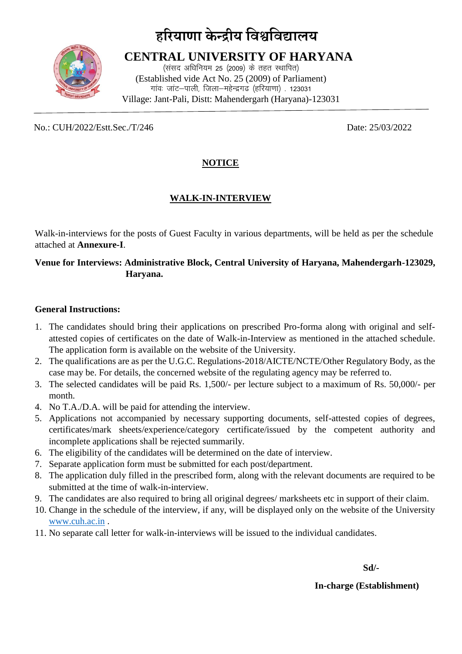# **हरियाणा के न्द्रीय विश्वविद्यालय**



 **CENTRAL UNIVERSITY OF HARYANA** (संसद अधिनियम 25 (2009) के तहत स्थापित) (Established vide Act No. 25 (2009) of Parliament) गांवः जांट-पाली, जिला-महेन्द्रगढ (हरियाणा) . 123031 Village: Jant-Pali, Distt: Mahendergarh (Haryana)-123031

No.: CUH/2022/Estt.Sec./T/246 Date: 25/03/2022

# **NOTICE**

# **WALK-IN-INTERVIEW**

Walk-in-interviews for the posts of Guest Faculty in various departments, will be held as per the schedule attached at **Annexure-I**.

## **Venue for Interviews: Administrative Block, Central University of Haryana, Mahendergarh-123029, Haryana.**

### **General Instructions:**

- 1. The candidates should bring their applications on prescribed Pro-forma along with original and selfattested copies of certificates on the date of Walk-in-Interview as mentioned in the attached schedule. The application form is available on the website of the University.
- 2. The qualifications are as per the U.G.C. Regulations-2018/AICTE/NCTE/Other Regulatory Body, as the case may be. For details, the concerned website of the regulating agency may be referred to.
- 3. The selected candidates will be paid Rs. 1,500/- per lecture subject to a maximum of Rs. 50,000/- per month.
- 4. No T.A./D.A. will be paid for attending the interview.
- 5. Applications not accompanied by necessary supporting documents, self-attested copies of degrees, certificates/mark sheets/experience/category certificate/issued by the competent authority and incomplete applications shall be rejected summarily.
- 6. The eligibility of the candidates will be determined on the date of interview.
- 7. Separate application form must be submitted for each post/department.
- 8. The application duly filled in the prescribed form, along with the relevant documents are required to be submitted at the time of walk-in-interview.
- 9. The candidates are also required to bring all original degrees/ marksheets etc in support of their claim.
- 10. Change in the schedule of the interview, if any, will be displayed only on the website of the University [www.cuh.ac.in](http://www.cuh.ac.in/) .
- 11. No separate call letter for walk-in-interviews will be issued to the individual candidates.

**Sd/-** 

#### **In-charge (Establishment)**